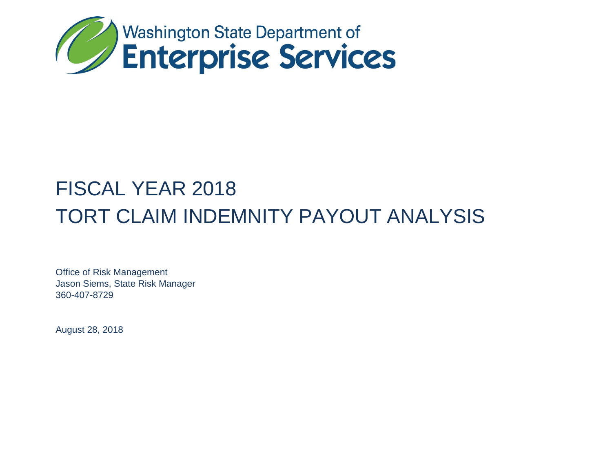

# FISCAL YEAR 2018 TORT CLAIM INDEMNITY PAYOUT ANALYSIS

Office of Risk Management Jason Siems, State Risk Manager 360-407-8729

August 28, 2018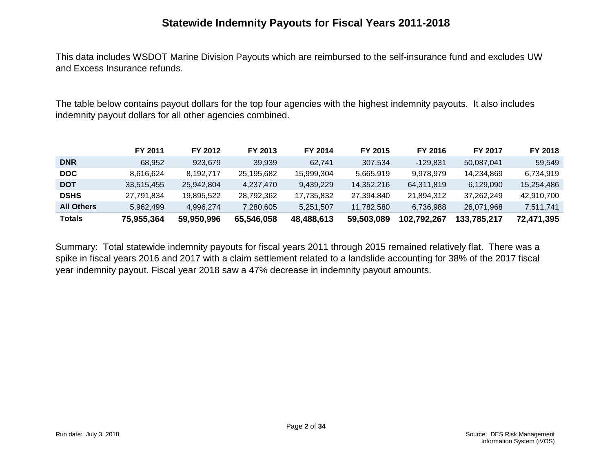## **Statewide Indemnity Payouts for Fiscal Years 2011-2018**

This data includes WSDOT Marine Division Payouts which are reimbursed to the self-insurance fund and excludes UW and Excess Insurance refunds.

The table below contains payout dollars for the top four agencies with the highest indemnity payouts. It also includes indemnity payout dollars for all other agencies combined.

|                   | FY 2011    | FY 2012    | FY 2013    | FY 2014    | FY 2015    | FY 2016     | FY 2017     | FY 2018    |
|-------------------|------------|------------|------------|------------|------------|-------------|-------------|------------|
| <b>DNR</b>        | 68.952     | 923.679    | 39.939     | 62.741     | 307.534    | -129.831    | 50.087.041  | 59.549     |
| <b>DOC</b>        | 8.616.624  | 8.192.717  | 25.195.682 | 15.999.304 | 5.665.919  | 9.978.979   | 14.234.869  | 6.734.919  |
| <b>DOT</b>        | 33,515,455 | 25.942.804 | 4.237.470  | 9.439.229  | 14.352.216 | 64,311,819  | 6.129.090   | 15,254,486 |
| <b>DSHS</b>       | 27.791.834 | 19.895.522 | 28.792.362 | 17.735.832 | 27,394,840 | 21,894,312  | 37.262.249  | 42,910,700 |
| <b>All Others</b> | 5.962.499  | 4.996.274  | 7.280.605  | 5.251.507  | 11.782.580 | 6.736.988   | 26.071.968  | 7,511,741  |
| Totals            | 75,955,364 | 59,950,996 | 65,546,058 | 48,488,613 | 59,503,089 | 102,792,267 | 133,785,217 | 72,471,395 |

Summary: Total statewide indemnity payouts for fiscal years 2011 through 2015 remained relatively flat. There was a spike in fiscal years 2016 and 2017 with a claim settlement related to a landslide accounting for 38% of the 2017 fiscal year indemnity payout. Fiscal year 2018 saw a 47% decrease in indemnity payout amounts.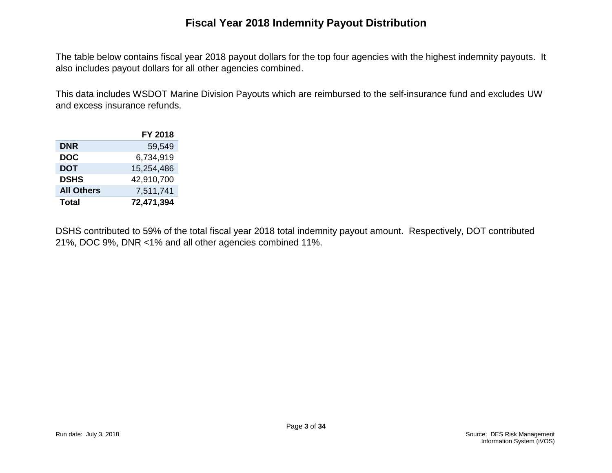## **Fiscal Year 2018 Indemnity Payout Distribution**

The table below contains fiscal year 2018 payout dollars for the top four agencies with the highest indemnity payouts. It also includes payout dollars for all other agencies combined.

This data includes WSDOT Marine Division Payouts which are reimbursed to the self-insurance fund and excludes UW and excess insurance refunds.

|                   | <b>FY 2018</b> |
|-------------------|----------------|
| <b>DNR</b>        | 59,549         |
| <b>DOC</b>        | 6,734,919      |
| <b>DOT</b>        | 15,254,486     |
| <b>DSHS</b>       | 42,910,700     |
| <b>All Others</b> | 7,511,741      |
| <b>Total</b>      | 72,471,394     |

DSHS contributed to 59% of the total fiscal year 2018 total indemnity payout amount. Respectively, DOT contributed 21%, DOC 9%, DNR <1% and all other agencies combined 11%.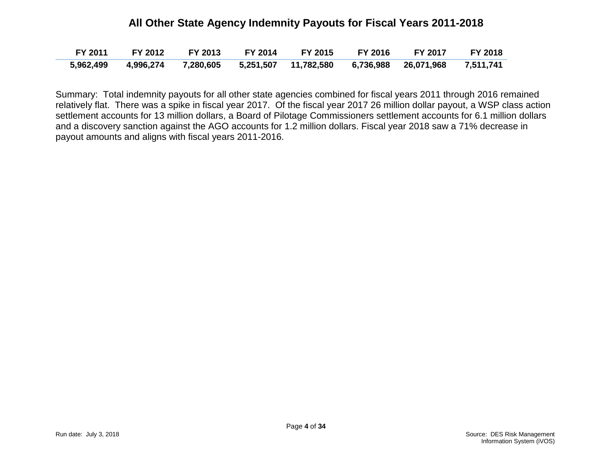#### **All Other State Agency Indemnity Payouts for Fiscal Years 2011-2018**

| FY 2011   |  | FY 2012 FY 2013 FY 2014 FY 2015 FY 2016                                       | <b>EY 2017</b> | <b>FY 2018</b> |
|-----------|--|-------------------------------------------------------------------------------|----------------|----------------|
| 5,962,499 |  | 4,996,274  7,280,605  5,251,507  11,782,580  6,736,988  26,071,968  7,511,741 |                |                |

Summary: Total indemnity payouts for all other state agencies combined for fiscal years 2011 through 2016 remained relatively flat. There was a spike in fiscal year 2017. Of the fiscal year 2017 26 million dollar payout, a WSP class action settlement accounts for 13 million dollars, a Board of Pilotage Commissioners settlement accounts for 6.1 million dollars and a discovery sanction against the AGO accounts for 1.2 million dollars. Fiscal year 2018 saw a 71% decrease in payout amounts and aligns with fiscal years 2011-2016.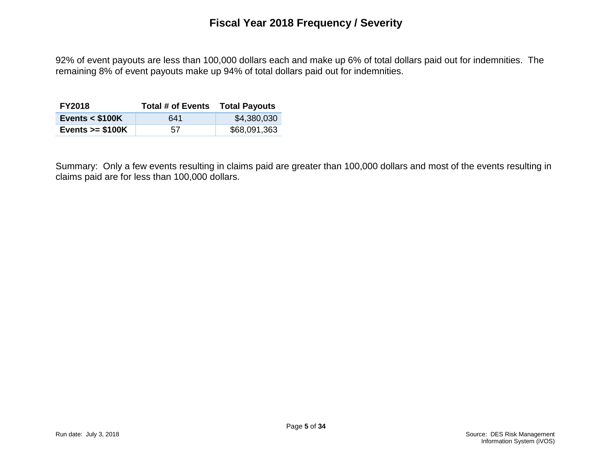92% of event payouts are less than 100,000 dollars each and make up 6% of total dollars paid out for indemnities. The remaining 8% of event payouts make up 94% of total dollars paid out for indemnities.

| <b>FY2018</b>     | Total # of Events | <b>Total Payouts</b> |
|-------------------|-------------------|----------------------|
| Events $<$ \$100K | 641               | \$4,380,030          |
| Events $>= $100K$ | 57                | \$68,091,363         |

Summary: Only a few events resulting in claims paid are greater than 100,000 dollars and most of the events resulting in claims paid are for less than 100,000 dollars.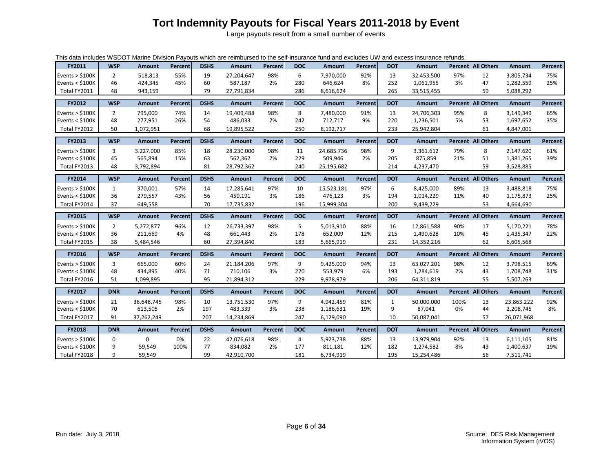# **Tort Indemnity Payouts for Fiscal Years 2011-2018 by Event**

Large payouts result from a small number of events

| This data includes WSDOT Marine Division Payouts which are reimbursed to the self-insurance fund and excludes UW and excess insurance refunds. |                |               |         |             |               |                |            |                      |         |             |               |      |                             |                        |         |
|------------------------------------------------------------------------------------------------------------------------------------------------|----------------|---------------|---------|-------------|---------------|----------------|------------|----------------------|---------|-------------|---------------|------|-----------------------------|------------------------|---------|
| FY2011                                                                                                                                         | <b>WSP</b>     | <b>Amount</b> | Percent | <b>DSHS</b> | <b>Amount</b> | <b>Percent</b> | <b>DOC</b> | <b>Amount</b>        | Percent | <b>DOT</b>  | <b>Amount</b> |      | Percent All Others          | <b>Amount</b>          | Percent |
| Events $>$ \$100K                                                                                                                              | $\overline{2}$ | 518.813       | 55%     | 19          | 27.204.647    | 98%            | 6          | 7.970.000            | 92%     | 13          | 32,453,500    | 97%  | 12                          | 3.805.734              | 75%     |
| Events $<$ \$100K                                                                                                                              | 46             | 424,345       | 45%     | 60          | 587,187       | 2%             | 280        | 646,624              | 8%      | 252         | 1,061,955     | 3%   | 47                          | 1,282,559              | 25%     |
| Total FY2011                                                                                                                                   | 48             | 943,159       |         | 79          | 27,791,834    |                | 286        | 8,616,624            |         | 265         | 33,515,455    |      | 59                          | 5,088,292              |         |
| FY2012                                                                                                                                         | <b>WSP</b>     | <b>Amount</b> | Percent | <b>DSHS</b> | <b>Amount</b> | Percent        | <b>DOC</b> | <b>Amount</b>        | Percent | <b>DOT</b>  | Amount        |      | Percent All Others          | Amount                 | Percent |
| Events $>$ \$100K                                                                                                                              | $\overline{2}$ | 795,000       | 74%     | 14          | 19,409,488    | 98%            | 8          | 7,480,000            | 91%     | 13          | 24,706,303    | 95%  | 8                           | 3,149,349              | 65%     |
| Events < $$100K$                                                                                                                               | 48             | 277,951       | 26%     | 54          | 486,033       | 2%             | 242        | 712,717              | 9%      | 220         | 1,236,501     | 5%   | 53                          | 1,697,652              | 35%     |
| Total FY2012                                                                                                                                   | 50             | 1,072,951     |         | 68          | 19,895,522    |                | 250        | 8,192,717            |         | 233         | 25,942,804    |      | 61                          | 4,847,001              |         |
|                                                                                                                                                |                |               |         |             |               |                |            |                      |         |             |               |      |                             |                        |         |
| FY2013                                                                                                                                         | <b>WSP</b>     | Amount        | Percent | <b>DSHS</b> | Amount        | Percent        | <b>DOC</b> | <b>Amount</b>        | Percent | <b>DOT</b>  | Amount        |      | Percent   All Others        | Amount                 | Percent |
| Events $>$ \$100K                                                                                                                              | 3              | 3.227.000     | 85%     | 18          | 28.230.000    | 98%            | 11         | 24,685,736           | 98%     | 9           | 3,361,612     | 79%  | 8                           | 2,147,620              | 61%     |
| Events $<$ \$100K                                                                                                                              | 45             | 565,894       | 15%     | 63          | 562,362       | 2%             | 229        | 509,946              | 2%      | 205         | 875,859       | 21%  | 51                          | 1,381,265              | 39%     |
| Total FY2013                                                                                                                                   | 48             | 3,792,894     |         | 81          | 28,792,362    |                | 240        | 25,195,682           |         | 214         | 4,237,470     |      | 59                          | 3,528,885              |         |
| FY2014                                                                                                                                         | <b>WSP</b>     | Amount        | Percent | <b>DSHS</b> | <b>Amount</b> | Percent        | <b>DOC</b> | Amount               | Percent | <b>DOT</b>  | Amount        |      | <b>Percent   All Others</b> | <b>Amount</b>          | Percent |
| Events $>$ \$100K                                                                                                                              | $\mathbf{1}$   | 370.001       | 57%     | 14          | 17,285,641    | 97%            | 10         | 15,523,181           | 97%     | 6           | 8,425,000     | 89%  | 13                          | 3,488,818              | 75%     |
| Events < $$100K$                                                                                                                               | 36             | 279,557       | 43%     | 56          | 450,191       | 3%             | 186        | 476,123              | 3%      | 194         | 1,014,229     | 11%  | 40                          | 1,175,873              | 25%     |
| Total FY2014                                                                                                                                   | 37             | 649,558       |         | 70          | 17,735,832    |                | 196        | 15,999,304           |         | 200         | 9,439,229     |      | 53                          | 4,664,690              |         |
|                                                                                                                                                |                |               |         |             |               |                |            |                      |         |             |               |      |                             |                        |         |
| FY2015                                                                                                                                         | <b>WSP</b>     | Amount        | Percent | <b>DSHS</b> | <b>Amount</b> | Percent        | <b>DOC</b> | <b>Amount</b>        | Percent | <b>DOT</b>  | Amount        |      | Percent   All Others        | Amount                 | Percent |
|                                                                                                                                                |                |               |         |             |               |                |            |                      |         |             |               |      |                             |                        |         |
| Events $>$ \$100K                                                                                                                              | 2              | 5,272,877     | 96%     | 12          | 26,733,397    | 98%            | 5          | 5,013,910            | 88%     | 16          | 12,861,588    | 90%  | 17                          | 5,170,221              | 78%     |
| Events < $$100K$                                                                                                                               | 36             | 211,669       | 4%      | 48          | 661,443       | 2%             | 178        | 652,009              | 12%     | 215         | 1,490,628     | 10%  | 45                          | 1,435,347              | 22%     |
| Total FY2015                                                                                                                                   | 38             | 5,484,546     |         | 60          | 27,394,840    |                | 183        | 5,665,919            |         | 231         | 14,352,216    |      | 62                          | 6,605,568              |         |
| FY2016                                                                                                                                         | <b>WSP</b>     | Amount        | Percent | <b>DSHS</b> | Amount        | Percent        | <b>DOC</b> | Amount               | Percent | <b>DOT</b>  | Amount        |      | Percent   All Others        | Amount                 | Percent |
| Events $>$ \$100K                                                                                                                              | 3              | 665.000       | 60%     | 24          | 21,184,206    | 97%            | 9          | 9,425,000            | 94%     | 13          | 63,027,201    | 98%  | 12                          | 3.798.515              | 69%     |
| Events < $$100K$                                                                                                                               | 48             | 434,895       | 40%     | 71          | 710,106       | 3%             | 220        | 553,979              | 6%      | 193         | 1,284,619     | 2%   | 43                          | 1,708,748              | 31%     |
| Total FY2016                                                                                                                                   | 51             | 1,099,895     |         | 95          | 21,894,312    |                | 229        | 9,978,979            |         | 206         | 64,311,819    |      | 55                          | 5,507,263              |         |
| FY2017                                                                                                                                         | <b>DNR</b>     | Amount        | Percent | <b>DSHS</b> | <b>Amount</b> | Percent        | <b>DOC</b> | <b>Amount</b>        | Percent | <b>DOT</b>  | Amount        |      | Percent   All Others        | <b>Amount</b>          | Percent |
| Events $>$ \$100K                                                                                                                              | 21             | 36,648,745    | 98%     | 10          | 13,751,530    | 97%            | 9          | 4,942,459            | 81%     | $\mathbf 1$ | 50,000,000    | 100% | 13                          | 23,863,222             | 92%     |
| Events < $$100K$                                                                                                                               | 70             | 613,505       | 2%      | 197         | 483,339       | 3%             | 238        | 1,186,631            | 19%     | 9           | 87,041        | 0%   | 44                          | 2,208,745              | 8%      |
| Total FY2017                                                                                                                                   | 91             | 37,262,249    |         | 207         | 14,234,869    |                | 247        | 6,129,090            |         | 10          | 50,087,041    |      | 57                          | 26,071,968             |         |
| <b>FY2018</b>                                                                                                                                  | <b>DNR</b>     | Amount        | Percent | <b>DSHS</b> | Amount        | Percent        | <b>DOC</b> | <b>Amount</b>        | Percent | <b>DOT</b>  | Amount        |      | Percent   All Others        | Amount                 | Percent |
| Events $>$ \$100K                                                                                                                              | 0              | 0             | 0%      |             | 42,076,618    | 98%            | 4          |                      | 88%     | 13          | 13,979,904    | 92%  |                             |                        | 81%     |
| Events $<$ \$100K                                                                                                                              | 9              | 59,549        | 100%    | 22<br>77    | 834,082       | 2%             | 177        | 5,923,738<br>811,181 | 12%     | 182         | 1,274,582     | 8%   | 13<br>43                    | 6,111,105<br>1,400,637 | 19%     |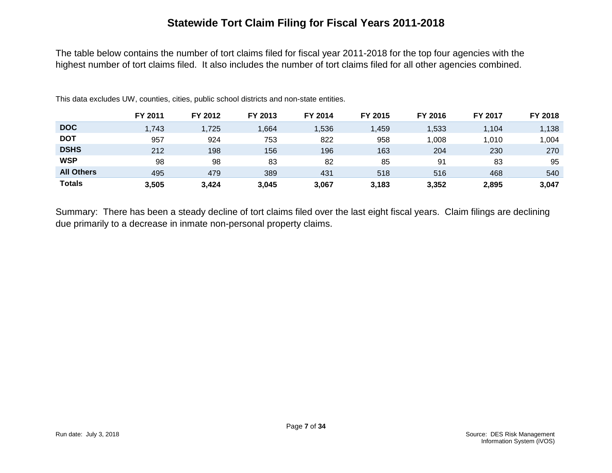## **Statewide Tort Claim Filing for Fiscal Years 2011-2018**

The table below contains the number of tort claims filed for fiscal year 2011-2018 for the top four agencies with the highest number of tort claims filed. It also includes the number of tort claims filed for all other agencies combined.

|                   | FY 2011 | FY 2012 | FY 2013 | FY 2014 | FY 2015 | FY 2016 | FY 2017 | FY 2018 |
|-------------------|---------|---------|---------|---------|---------|---------|---------|---------|
| <b>DOC</b>        | 1,743   | 1,725   | 1,664   | 1,536   | 459, ا  | 1,533   | 1,104   | 1,138   |
| <b>DOT</b>        | 957     | 924     | 753     | 822     | 958     | 1,008   | 1,010   | ,004    |
| <b>DSHS</b>       | 212     | 198     | 156     | 196     | 163     | 204     | 230     | 270     |
| <b>WSP</b>        | 98      | 98      | 83      | 82      | 85      | 91      | 83      | 95      |
| <b>All Others</b> | 495     | 479     | 389     | 431     | 518     | 516     | 468     | 540     |
| <b>Totals</b>     | 3,505   | 3.424   | 3,045   | 3,067   | 3,183   | 3,352   | 2.895   | 3,047   |

This data excludes UW, counties, cities, public school districts and non-state entities.

Summary: There has been a steady decline of tort claims filed over the last eight fiscal years. Claim filings are declining due primarily to a decrease in inmate non-personal property claims.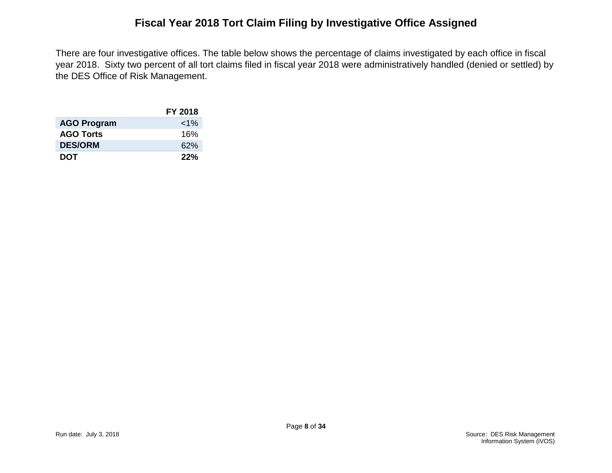## **Fiscal Year 2018 Tort Claim Filing by Investigative Office Assigned**

There are four investigative offices. The table below shows the percentage of claims investigated by each office in fiscal year 2018. Sixty two percent of all tort claims filed in fiscal year 2018 were administratively handled (denied or settled) by the DES Office of Risk Management.

|                    | <b>FY 2018</b> |
|--------------------|----------------|
| <b>AGO Program</b> | ${<}1\%$       |
| <b>AGO Torts</b>   | 16%            |
| <b>DES/ORM</b>     | 62%            |
| <b>DOT</b>         | 22%            |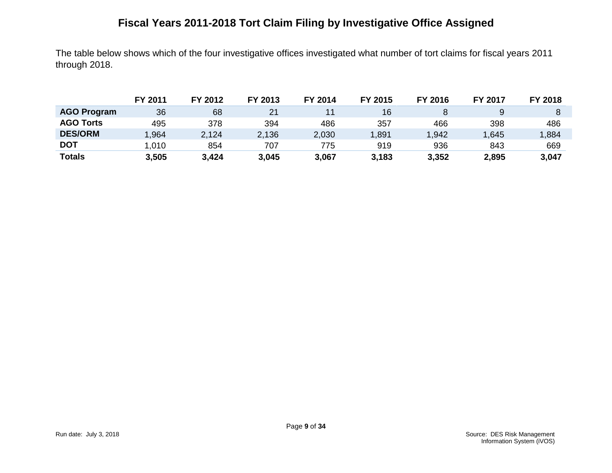# **Fiscal Years 2011-2018 Tort Claim Filing by Investigative Office Assigned**

The table below shows which of the four investigative offices investigated what number of tort claims for fiscal years 2011 through 2018.

|                    | FY 2011 | FY 2012 | FY 2013 | FY 2014 | FY 2015 | FY 2016 | <b>FY 2017</b> | FY 2018 |
|--------------------|---------|---------|---------|---------|---------|---------|----------------|---------|
| <b>AGO Program</b> | 36      | 68      | 21      |         | 16      |         |                |         |
| <b>AGO Torts</b>   | 495     | 378     | 394     | 486     | 357     | 466     | 398            | 486     |
| <b>DES/ORM</b>     | .964    | 2,124   | 2,136   | 2,030   | ,891    | 1,942   | 1,645          | 1,884   |
| <b>DOT</b>         | .010    | 854     | 707     | 775     | 919     | 936     | 843            | 669     |
| <b>Totals</b>      | 3,505   | 3,424   | 3,045   | 3,067   | 3,183   | 3,352   | 2,895          | 3,047   |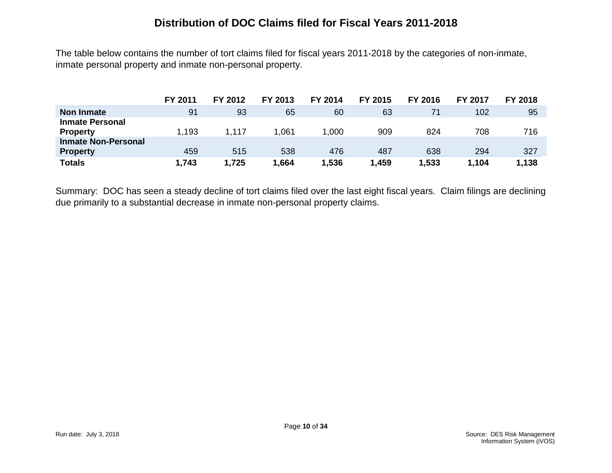#### **Distribution of DOC Claims filed for Fiscal Years 2011-2018**

The table below contains the number of tort claims filed for fiscal years 2011-2018 by the categories of non-inmate, inmate personal property and inmate non-personal property.

|                            | FY 2011 | FY 2012 | FY 2013 | FY 2014 | FY 2015 | FY 2016 | <b>FY 2017</b> | FY 2018 |
|----------------------------|---------|---------|---------|---------|---------|---------|----------------|---------|
| <b>Non Inmate</b>          | 91      | 93      | 65      | 60      | 63      | 71      | 102            | 95      |
| <b>Inmate Personal</b>     |         |         |         |         |         |         |                |         |
| <b>Property</b>            | 1,193   | 1.117   | .061    | 1,000   | 909     | 824     | 708            | 716     |
| <b>Inmate Non-Personal</b> |         |         |         |         |         |         |                |         |
| <b>Property</b>            | 459     | 515     | 538     | 476     | 487     | 638     | 294            | 327     |
| <b>Totals</b>              | 1,743   | 1,725   | .664    | 1.536   | 1,459   | 1,533   | 1,104          | 1,138   |

Summary: DOC has seen a steady decline of tort claims filed over the last eight fiscal years. Claim filings are declining due primarily to a substantial decrease in inmate non-personal property claims.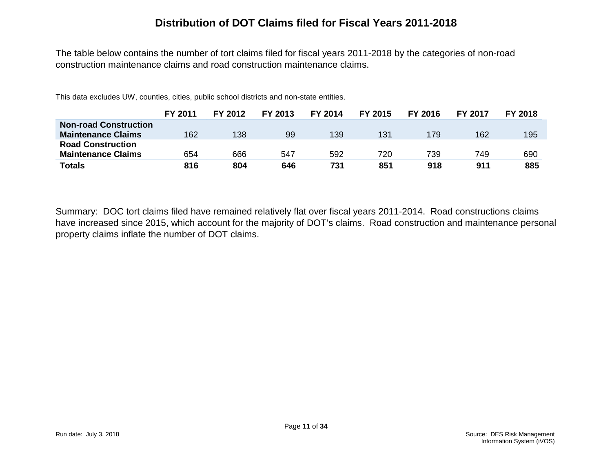#### **Distribution of DOT Claims filed for Fiscal Years 2011-2018**

The table below contains the number of tort claims filed for fiscal years 2011-2018 by the categories of non-road construction maintenance claims and road construction maintenance claims.

This data excludes UW, counties, cities, public school districts and non-state entities.

|                              | FY 2011 | FY 2012 | FY 2013 | FY 2014 | <b>FY 2015</b> | FY 2016 | <b>FY 2017</b> | <b>FY 2018</b> |
|------------------------------|---------|---------|---------|---------|----------------|---------|----------------|----------------|
| <b>Non-road Construction</b> |         |         |         |         |                |         |                |                |
| <b>Maintenance Claims</b>    | 162     | 138     | 99      | 139     | 131            | 179     | 162            | 195            |
| <b>Road Construction</b>     |         |         |         |         |                |         |                |                |
| <b>Maintenance Claims</b>    | 654     | 666     | 547     | 592     | 720            | 739     | 749            | 690            |
| Totals                       | 816     | 804     | 646     | 731     | 851            | 918     | 911            | 885            |

Summary: DOC tort claims filed have remained relatively flat over fiscal years 2011-2014. Road constructions claims have increased since 2015, which account for the majority of DOT's claims. Road construction and maintenance personal property claims inflate the number of DOT claims.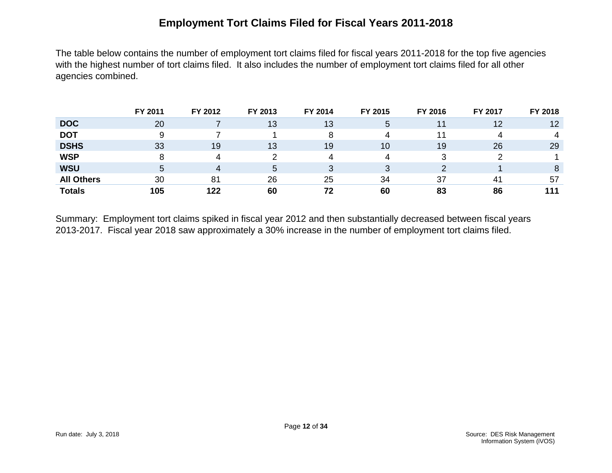## **Employment Tort Claims Filed for Fiscal Years 2011-2018**

The table below contains the number of employment tort claims filed for fiscal years 2011-2018 for the top five agencies with the highest number of tort claims filed. It also includes the number of employment tort claims filed for all other agencies combined.

|                   | FY 2011 | FY 2012 | FY 2013 | FY 2014 | FY 2015 | FY 2016 | FY 2017 | FY 2018 |
|-------------------|---------|---------|---------|---------|---------|---------|---------|---------|
| <b>DOC</b>        | 20      |         | 13      | 13      | 5       | 11      | 12      | 12      |
| <b>DOT</b>        | 9       |         |         | 8       | 4       |         |         | 4       |
| <b>DSHS</b>       | 33      | 19      | 13      | 19      | 10      | 19      | 26      | 29      |
| <b>WSP</b>        |         | Δ       |         | 4       | 4       |         |         |         |
| <b>WSU</b>        | 5       | 4       | 5       | 3       | 3       |         |         | 8       |
| <b>All Others</b> | 30      | 81      | 26      | 25      | 34      | 37      | 41      | 57      |
| <b>Totals</b>     | 105     | 122     | 60      | 72      | 60      | 83      | 86      | 111     |

Summary: Employment tort claims spiked in fiscal year 2012 and then substantially decreased between fiscal years 2013-2017. Fiscal year 2018 saw approximately a 30% increase in the number of employment tort claims filed.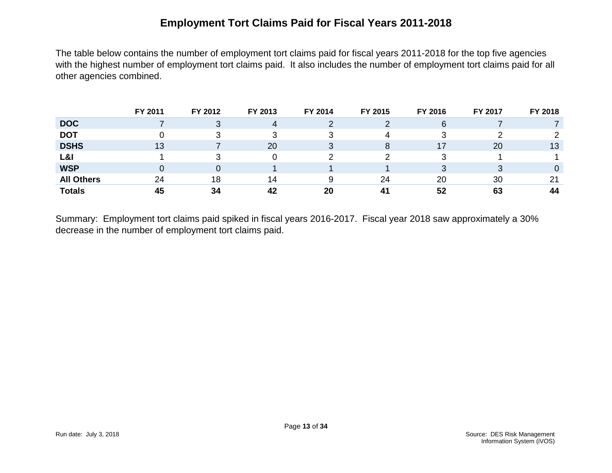## **Employment Tort Claims Paid for Fiscal Years 2011-2018**

The table below contains the number of employment tort claims paid for fiscal years 2011-2018 for the top five agencies with the highest number of employment tort claims paid. It also includes the number of employment tort claims paid for all other agencies combined.

|                   | FY 2011 | FY 2012 | FY 2013 | FY 2014 | FY 2015 | FY 2016 | FY 2017 | FY 2018 |
|-------------------|---------|---------|---------|---------|---------|---------|---------|---------|
| <b>DOC</b>        |         |         |         | ∠       |         | 6       |         |         |
| <b>DOT</b>        |         |         |         |         | 4       |         |         |         |
| <b>DSHS</b>       | 13      |         | 20      | 3       | 8       |         | 20      | 13      |
| L&I               |         |         |         |         |         |         |         |         |
| <b>WSP</b>        |         |         |         |         |         |         |         |         |
| <b>All Others</b> | 24      | 18      | 14      | 9       | 24      | 20      | 30      | 21      |
| <b>Totals</b>     | 45      | 34      | 42      | 20      | 41      | 52      | 63      | 44      |

Summary: Employment tort claims paid spiked in fiscal years 2016-2017. Fiscal year 2018 saw approximately a 30% decrease in the number of employment tort claims paid.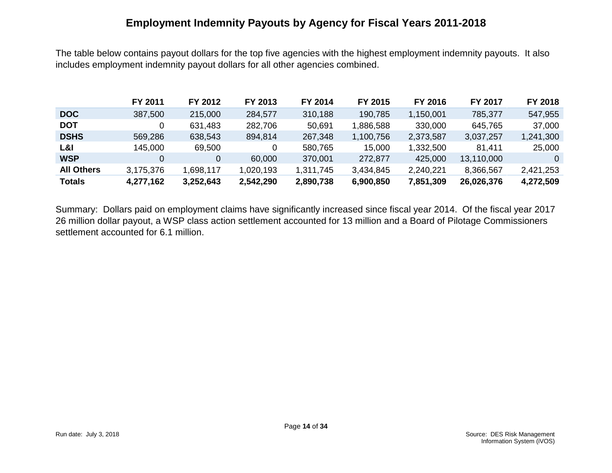#### **Employment Indemnity Payouts by Agency for Fiscal Years 2011-2018**

The table below contains payout dollars for the top five agencies with the highest employment indemnity payouts. It also includes employment indemnity payout dollars for all other agencies combined.

|                   | FY 2011   | FY 2012   | FY 2013   | FY 2014   | FY 2015   | FY 2016   | <b>FY 2017</b> | FY 2018   |
|-------------------|-----------|-----------|-----------|-----------|-----------|-----------|----------------|-----------|
| <b>DOC</b>        | 387,500   | 215,000   | 284,577   | 310,188   | 190,785   | 1,150,001 | 785,377        | 547,955   |
| <b>DOT</b>        |           | 631,483   | 282,706   | 50,691    | 1,886,588 | 330,000   | 645,765        | 37,000    |
| <b>DSHS</b>       | 569,286   | 638,543   | 894,814   | 267,348   | 1,100,756 | 2,373,587 | 3,037,257      | 1,241,300 |
| L&I               | 145,000   | 69,500    | 0         | 580,765   | 15,000    | 1,332,500 | 81,411         | 25,000    |
| <b>WSP</b>        | 0         | 0         | 60,000    | 370,001   | 272,877   | 425,000   | 13,110,000     |           |
| <b>All Others</b> | 3,175,376 | 1,698,117 | 1,020,193 | 1,311,745 | 3,434,845 | 2,240,221 | 8,366,567      | 2,421,253 |
| <b>Totals</b>     | 4,277,162 | 3,252,643 | 2,542,290 | 2,890,738 | 6,900,850 | 7,851,309 | 26,026,376     | 4,272,509 |

Summary: Dollars paid on employment claims have significantly increased since fiscal year 2014. Of the fiscal year 2017 26 million dollar payout, a WSP class action settlement accounted for 13 million and a Board of Pilotage Commissioners settlement accounted for 6.1 million.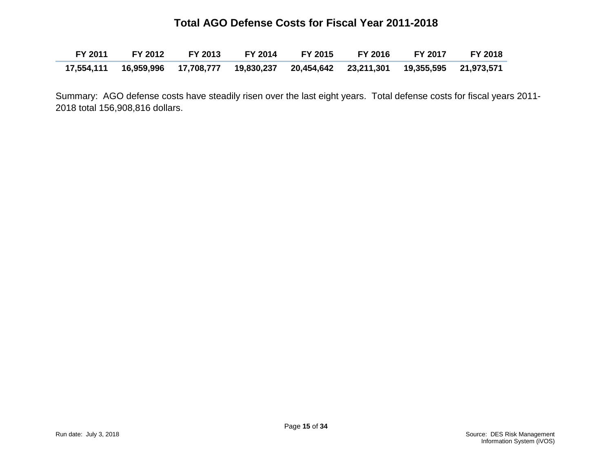#### **Total AGO Defense Costs for Fiscal Year 2011-2018**

| FY 2011         FY 2012        FY 2013        FY 2014        FY 2015        FY 2016        FY 2017 |  |  | <b>FY 2018</b> |
|----------------------------------------------------------------------------------------------------|--|--|----------------|
| 17,554,111 16,959,996  17,708,777  19,830,237  20,454,642  23,211,301  19,355,595  21,973,571      |  |  |                |

Summary: AGO defense costs have steadily risen over the last eight years. Total defense costs for fiscal years 2011- 2018 total 156,908,816 dollars.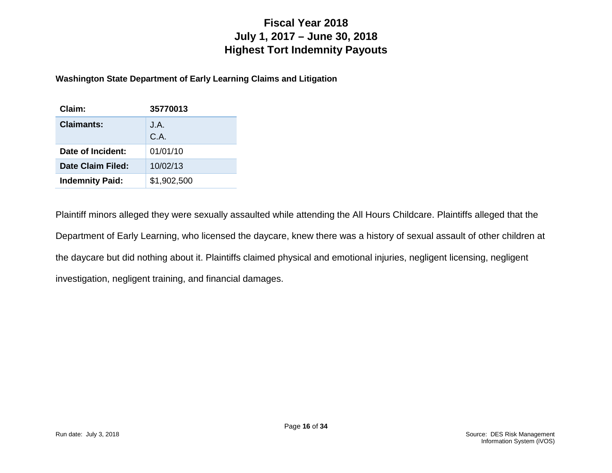## **Fiscal Year 2018 July 1, 2017 – June 30, 2018 Highest Tort Indemnity Payouts**

#### **Washington State Department of Early Learning Claims and Litigation**

| Claim:                 | 35770013     |
|------------------------|--------------|
| <b>Claimants:</b>      | J.A.<br>C.A. |
| Date of Incident:      | 01/01/10     |
| Date Claim Filed:      | 10/02/13     |
| <b>Indemnity Paid:</b> | \$1,902,500  |

Plaintiff minors alleged they were sexually assaulted while attending the All Hours Childcare. Plaintiffs alleged that the Department of Early Learning, who licensed the daycare, knew there was a history of sexual assault of other children at the daycare but did nothing about it. Plaintiffs claimed physical and emotional injuries, negligent licensing, negligent investigation, negligent training, and financial damages.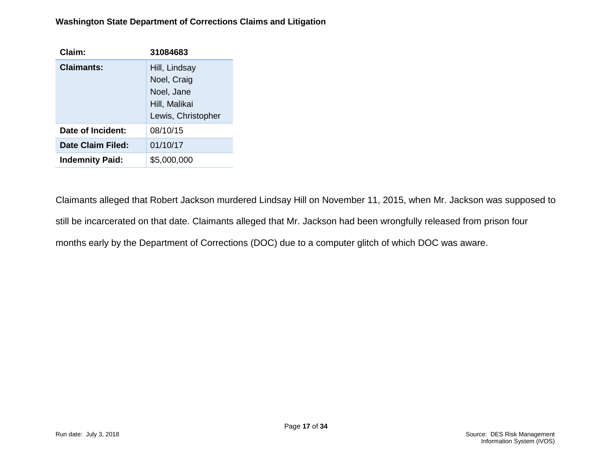#### **Washington State Department of Corrections Claims and Litigation**

| Claim:                 | 31084683                                                                          |
|------------------------|-----------------------------------------------------------------------------------|
| Claimants:             | Hill, Lindsay<br>Noel, Craig<br>Noel, Jane<br>Hill, Malikai<br>Lewis, Christopher |
| Date of Incident:      | 08/10/15                                                                          |
| Date Claim Filed:      | 01/10/17                                                                          |
| <b>Indemnity Paid:</b> | \$5,000,000                                                                       |

Claimants alleged that Robert Jackson murdered Lindsay Hill on November 11, 2015, when Mr. Jackson was supposed to still be incarcerated on that date. Claimants alleged that Mr. Jackson had been wrongfully released from prison four months early by the Department of Corrections (DOC) due to a computer glitch of which DOC was aware.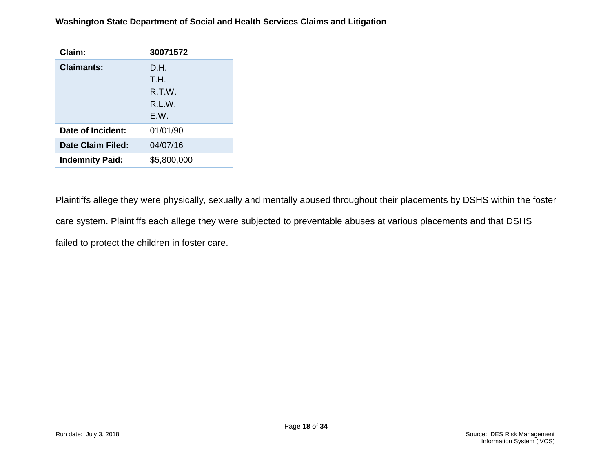#### **Washington State Department of Social and Health Services Claims and Litigation**

| Claim:                 | 30071572    |
|------------------------|-------------|
| <b>Claimants:</b>      | D.H.        |
|                        | T.H.        |
|                        | R.T.W.      |
|                        | R.L.W.      |
|                        | F.W.        |
| Date of Incident:      | 01/01/90    |
| Date Claim Filed:      | 04/07/16    |
| <b>Indemnity Paid:</b> | \$5,800,000 |

Plaintiffs allege they were physically, sexually and mentally abused throughout their placements by DSHS within the foster care system. Plaintiffs each allege they were subjected to preventable abuses at various placements and that DSHS failed to protect the children in foster care.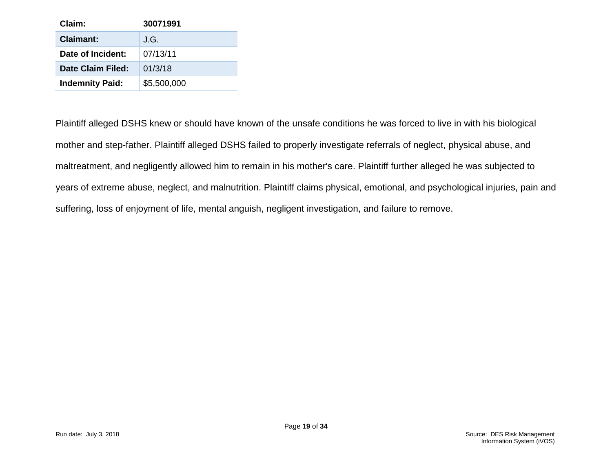| Claim:                 | 30071991    |
|------------------------|-------------|
| <b>Claimant:</b>       | J.G.        |
| Date of Incident:      | 07/13/11    |
| Date Claim Filed:      | 01/3/18     |
| <b>Indemnity Paid:</b> | \$5,500,000 |

Plaintiff alleged DSHS knew or should have known of the unsafe conditions he was forced to live in with his biological mother and step-father. Plaintiff alleged DSHS failed to properly investigate referrals of neglect, physical abuse, and maltreatment, and negligently allowed him to remain in his mother's care. Plaintiff further alleged he was subjected to years of extreme abuse, neglect, and malnutrition. Plaintiff claims physical, emotional, and psychological injuries, pain and suffering, loss of enjoyment of life, mental anguish, negligent investigation, and failure to remove.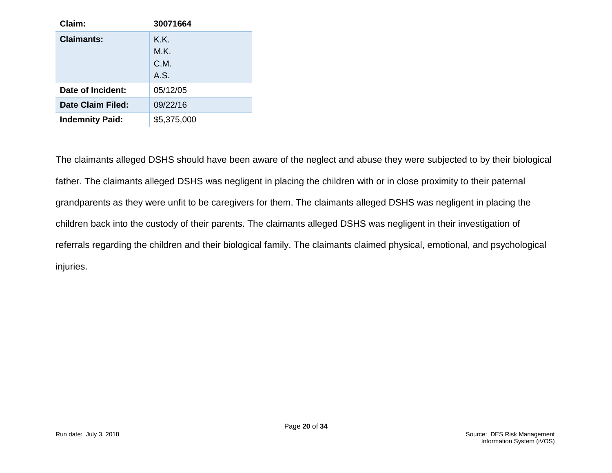| Claim:                 | 30071664    |
|------------------------|-------------|
| Claimants:             | K.K.        |
|                        | M.K.        |
|                        | C.M.        |
|                        | A.S.        |
| Date of Incident:      | 05/12/05    |
| Date Claim Filed:      | 09/22/16    |
| <b>Indemnity Paid:</b> | \$5,375,000 |

The claimants alleged DSHS should have been aware of the neglect and abuse they were subjected to by their biological father. The claimants alleged DSHS was negligent in placing the children with or in close proximity to their paternal grandparents as they were unfit to be caregivers for them. The claimants alleged DSHS was negligent in placing the children back into the custody of their parents. The claimants alleged DSHS was negligent in their investigation of referrals regarding the children and their biological family. The claimants claimed physical, emotional, and psychological injuries.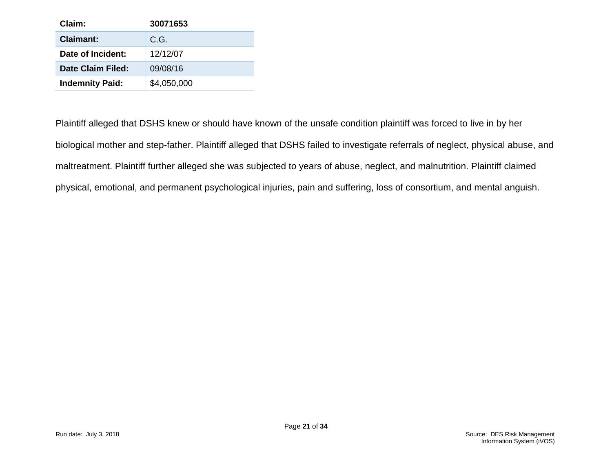| Claim:                 | 30071653    |
|------------------------|-------------|
| <b>Claimant:</b>       | C.G.        |
| Date of Incident:      | 12/12/07    |
| Date Claim Filed:      | 09/08/16    |
| <b>Indemnity Paid:</b> | \$4,050,000 |

Plaintiff alleged that DSHS knew or should have known of the unsafe condition plaintiff was forced to live in by her biological mother and step-father. Plaintiff alleged that DSHS failed to investigate referrals of neglect, physical abuse, and maltreatment. Plaintiff further alleged she was subjected to years of abuse, neglect, and malnutrition. Plaintiff claimed physical, emotional, and permanent psychological injuries, pain and suffering, loss of consortium, and mental anguish.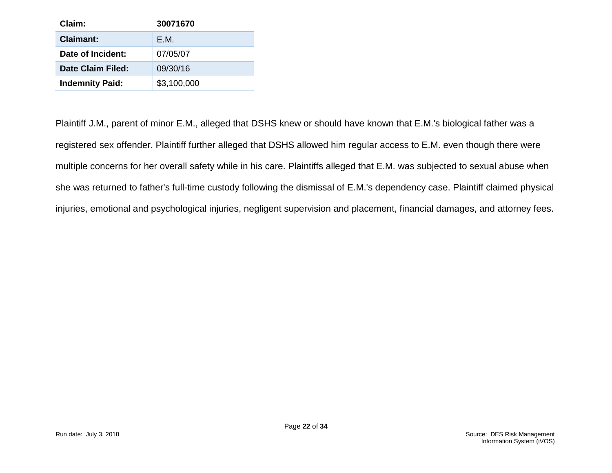| Claim:                 | 30071670    |
|------------------------|-------------|
| <b>Claimant:</b>       | F.M.        |
| Date of Incident:      | 07/05/07    |
| Date Claim Filed:      | 09/30/16    |
| <b>Indemnity Paid:</b> | \$3,100,000 |

Plaintiff J.M., parent of minor E.M., alleged that DSHS knew or should have known that E.M.'s biological father was a registered sex offender. Plaintiff further alleged that DSHS allowed him regular access to E.M. even though there were multiple concerns for her overall safety while in his care. Plaintiffs alleged that E.M. was subjected to sexual abuse when she was returned to father's full-time custody following the dismissal of E.M.'s dependency case. Plaintiff claimed physical injuries, emotional and psychological injuries, negligent supervision and placement, financial damages, and attorney fees.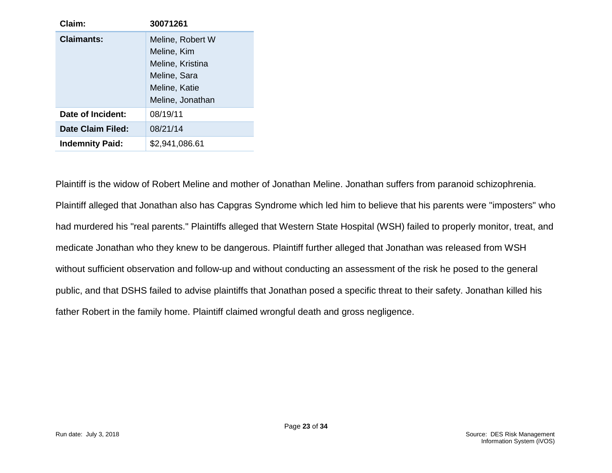| Claim:                 | 30071261                                                                                                 |
|------------------------|----------------------------------------------------------------------------------------------------------|
| <b>Claimants:</b>      | Meline, Robert W<br>Meline, Kim<br>Meline, Kristina<br>Meline, Sara<br>Meline, Katie<br>Meline, Jonathan |
| Date of Incident:      | 08/19/11                                                                                                 |
| Date Claim Filed:      | 08/21/14                                                                                                 |
| <b>Indemnity Paid:</b> | \$2,941,086.61                                                                                           |

Plaintiff is the widow of Robert Meline and mother of Jonathan Meline. Jonathan suffers from paranoid schizophrenia. Plaintiff alleged that Jonathan also has Capgras Syndrome which led him to believe that his parents were "imposters" who had murdered his "real parents." Plaintiffs alleged that Western State Hospital (WSH) failed to properly monitor, treat, and medicate Jonathan who they knew to be dangerous. Plaintiff further alleged that Jonathan was released from WSH without sufficient observation and follow-up and without conducting an assessment of the risk he posed to the general public, and that DSHS failed to advise plaintiffs that Jonathan posed a specific threat to their safety. Jonathan killed his father Robert in the family home. Plaintiff claimed wrongful death and gross negligence.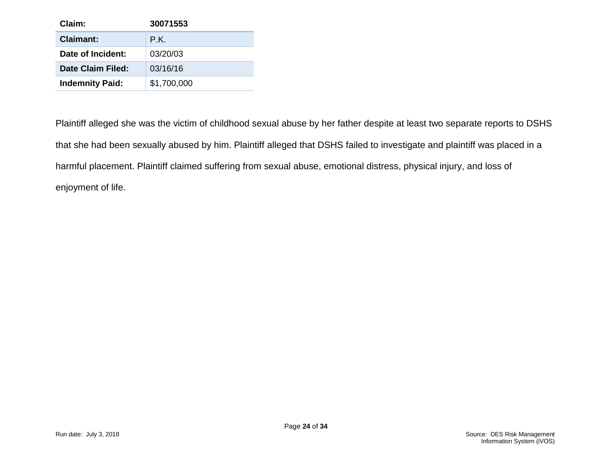| Claim:                 | 30071553    |
|------------------------|-------------|
| Claimant:              | P.K.        |
| Date of Incident:      | 03/20/03    |
| Date Claim Filed:      | 03/16/16    |
| <b>Indemnity Paid:</b> | \$1,700,000 |

Plaintiff alleged she was the victim of childhood sexual abuse by her father despite at least two separate reports to DSHS that she had been sexually abused by him. Plaintiff alleged that DSHS failed to investigate and plaintiff was placed in a harmful placement. Plaintiff claimed suffering from sexual abuse, emotional distress, physical injury, and loss of enjoyment of life.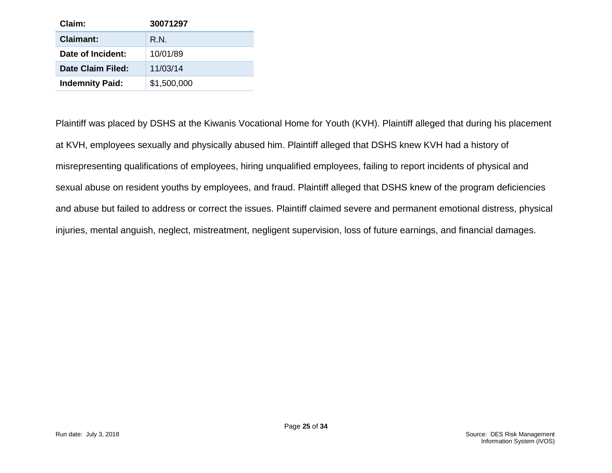| Claim:                 | 30071297    |
|------------------------|-------------|
| <b>Claimant:</b>       | R.N.        |
| Date of Incident:      | 10/01/89    |
| Date Claim Filed:      | 11/03/14    |
| <b>Indemnity Paid:</b> | \$1,500,000 |

Plaintiff was placed by DSHS at the Kiwanis Vocational Home for Youth (KVH). Plaintiff alleged that during his placement at KVH, employees sexually and physically abused him. Plaintiff alleged that DSHS knew KVH had a history of misrepresenting qualifications of employees, hiring unqualified employees, failing to report incidents of physical and sexual abuse on resident youths by employees, and fraud. Plaintiff alleged that DSHS knew of the program deficiencies and abuse but failed to address or correct the issues. Plaintiff claimed severe and permanent emotional distress, physical injuries, mental anguish, neglect, mistreatment, negligent supervision, loss of future earnings, and financial damages.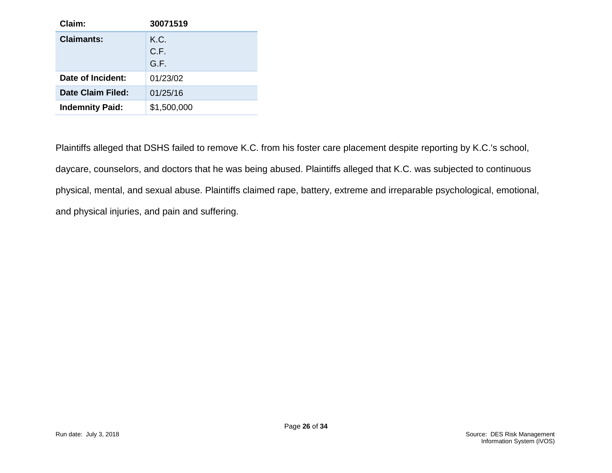| Claim:                 | 30071519             |
|------------------------|----------------------|
| Claimants:             | K.C.<br>C.F.<br>G.F. |
| Date of Incident:      | 01/23/02             |
| Date Claim Filed:      | 01/25/16             |
| <b>Indemnity Paid:</b> | \$1,500,000          |

Plaintiffs alleged that DSHS failed to remove K.C. from his foster care placement despite reporting by K.C.'s school, daycare, counselors, and doctors that he was being abused. Plaintiffs alleged that K.C. was subjected to continuous physical, mental, and sexual abuse. Plaintiffs claimed rape, battery, extreme and irreparable psychological, emotional, and physical injuries, and pain and suffering.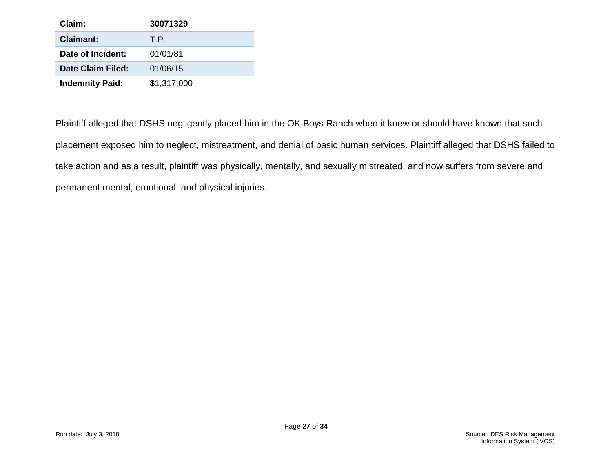| Claim:                 | 30071329    |
|------------------------|-------------|
| Claimant:              | T.P.        |
| Date of Incident:      | 01/01/81    |
| Date Claim Filed:      | 01/06/15    |
| <b>Indemnity Paid:</b> | \$1,317,000 |

Plaintiff alleged that DSHS negligently placed him in the OK Boys Ranch when it knew or should have known that such placement exposed him to neglect, mistreatment, and denial of basic human services. Plaintiff alleged that DSHS failed to take action and as a result, plaintiff was physically, mentally, and sexually mistreated, and now suffers from severe and permanent mental, emotional, and physical injuries.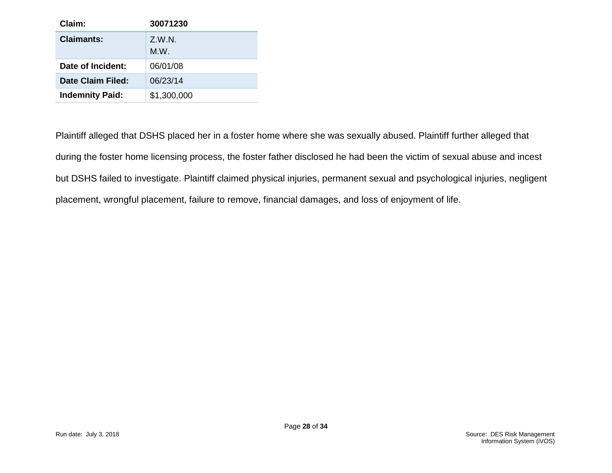| Claim:                 | 30071230       |
|------------------------|----------------|
| Claimants:             | Z.W.N.<br>M.W. |
| Date of Incident:      | 06/01/08       |
| Date Claim Filed:      | 06/23/14       |
| <b>Indemnity Paid:</b> | \$1,300,000    |

Plaintiff alleged that DSHS placed her in a foster home where she was sexually abused. Plaintiff further alleged that during the foster home licensing process, the foster father disclosed he had been the victim of sexual abuse and incest but DSHS failed to investigate. Plaintiff claimed physical injuries, permanent sexual and psychological injuries, negligent placement, wrongful placement, failure to remove, financial damages, and loss of enjoyment of life.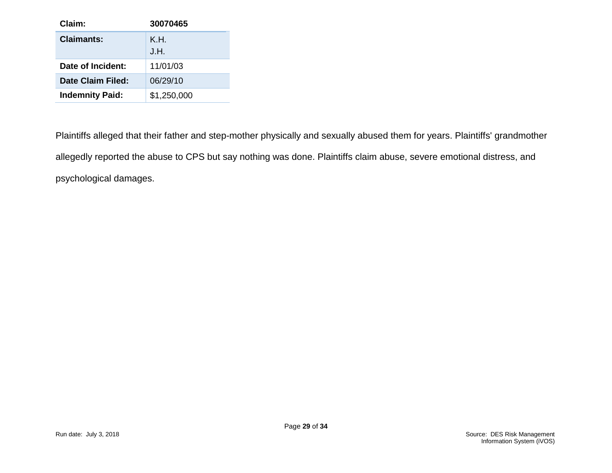| Claim:                 | 30070465    |
|------------------------|-------------|
| Claimants:             | K.H.        |
|                        | J.H.        |
| Date of Incident:      | 11/01/03    |
| Date Claim Filed:      | 06/29/10    |
| <b>Indemnity Paid:</b> | \$1,250,000 |

Plaintiffs alleged that their father and step-mother physically and sexually abused them for years. Plaintiffs' grandmother allegedly reported the abuse to CPS but say nothing was done. Plaintiffs claim abuse, severe emotional distress, and psychological damages.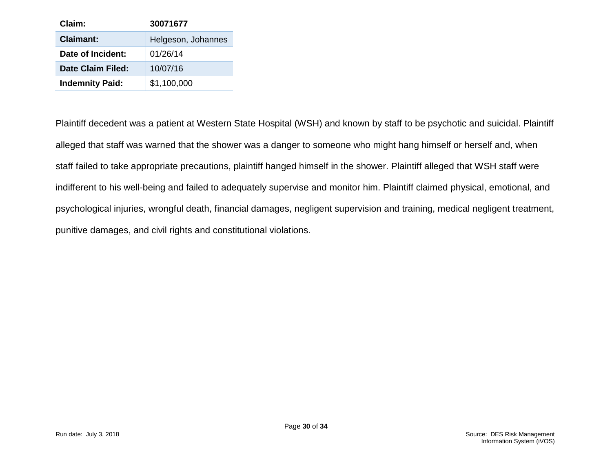| Claim:                 | 30071677           |
|------------------------|--------------------|
| <b>Claimant:</b>       | Helgeson, Johannes |
| Date of Incident:      | 01/26/14           |
| Date Claim Filed:      | 10/07/16           |
| <b>Indemnity Paid:</b> | \$1,100,000        |

Plaintiff decedent was a patient at Western State Hospital (WSH) and known by staff to be psychotic and suicidal. Plaintiff alleged that staff was warned that the shower was a danger to someone who might hang himself or herself and, when staff failed to take appropriate precautions, plaintiff hanged himself in the shower. Plaintiff alleged that WSH staff were indifferent to his well-being and failed to adequately supervise and monitor him. Plaintiff claimed physical, emotional, and psychological injuries, wrongful death, financial damages, negligent supervision and training, medical negligent treatment, punitive damages, and civil rights and constitutional violations.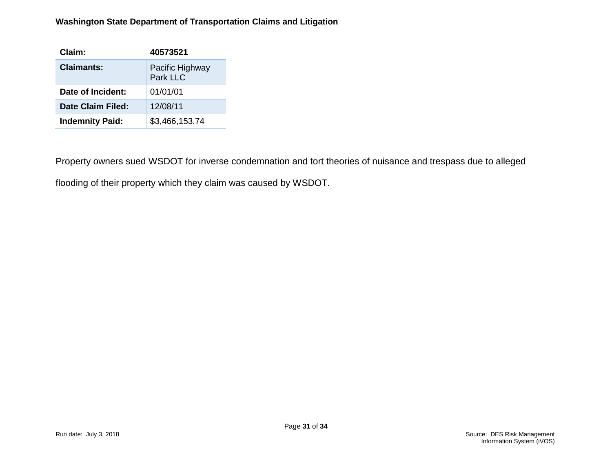#### **Washington State Department of Transportation Claims and Litigation**

| Claim:                 | 40573521                    |
|------------------------|-----------------------------|
| Claimants:             | Pacific Highway<br>Park LLC |
| Date of Incident:      | 01/01/01                    |
| Date Claim Filed:      | 12/08/11                    |
| <b>Indemnity Paid:</b> | \$3,466,153.74              |

Property owners sued WSDOT for inverse condemnation and tort theories of nuisance and trespass due to alleged

flooding of their property which they claim was caused by WSDOT.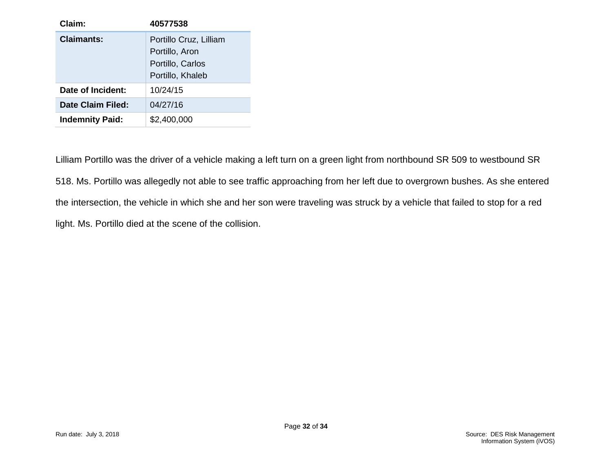| Claim:                 | 40577538                                                                         |
|------------------------|----------------------------------------------------------------------------------|
| Claimants:             | Portillo Cruz, Lilliam<br>Portillo, Aron<br>Portillo, Carlos<br>Portillo, Khaleb |
| Date of Incident:      | 10/24/15                                                                         |
| Date Claim Filed:      | 04/27/16                                                                         |
| <b>Indemnity Paid:</b> | \$2,400,000                                                                      |

Lilliam Portillo was the driver of a vehicle making a left turn on a green light from northbound SR 509 to westbound SR 518. Ms. Portillo was allegedly not able to see traffic approaching from her left due to overgrown bushes. As she entered the intersection, the vehicle in which she and her son were traveling was struck by a vehicle that failed to stop for a red light. Ms. Portillo died at the scene of the collision.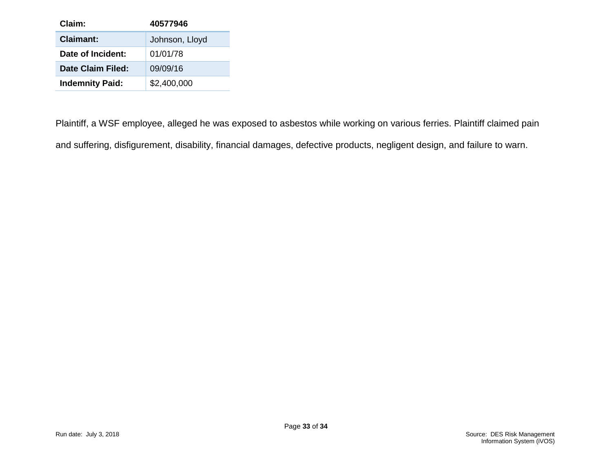| Claim:                 | 40577946       |
|------------------------|----------------|
| <b>Claimant:</b>       | Johnson, Lloyd |
| Date of Incident:      | 01/01/78       |
| Date Claim Filed:      | 09/09/16       |
| <b>Indemnity Paid:</b> | \$2,400,000    |

Plaintiff, a WSF employee, alleged he was exposed to asbestos while working on various ferries. Plaintiff claimed pain and suffering, disfigurement, disability, financial damages, defective products, negligent design, and failure to warn.